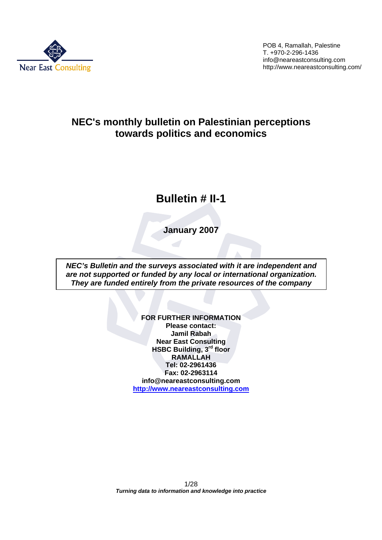

# **NEC's monthly bulletin on Palestinian perceptions towards politics and economics**

# **Bulletin # II-1**

**January 2007**

*NEC's Bulletin and the surveys associated with it are independent and are not supported or funded by any local or international organization. They are funded entirely from the private resources of the company*

> **FOR FURTHER INFORMATION Please contact: Jamil Rabah Near East Consulting HSBC Building, 3rd floor RAMALLAH Tel: 02-2961436 Fax: 02-2963114 info@neareastconsulting.com http://www.neareastconsulting.com**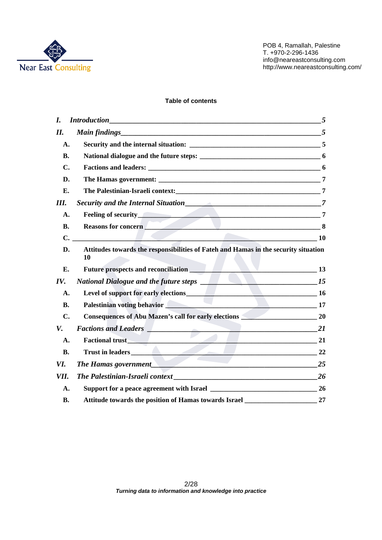

#### **Table of contents**

| I.        |                                                                                           |                |
|-----------|-------------------------------------------------------------------------------------------|----------------|
| Н.        |                                                                                           |                |
| А.        |                                                                                           |                |
| <b>B.</b> |                                                                                           |                |
| С.        |                                                                                           |                |
| D.        |                                                                                           |                |
| Е.        |                                                                                           |                |
| Ш.        |                                                                                           |                |
| A.        | Feeling of security <u>and the security of the second security</u>                        | $\overline{7}$ |
| <b>B.</b> | Reasons for concern 8                                                                     |                |
|           | $C.$ 10                                                                                   |                |
| D.        | Attitudes towards the responsibilities of Fateh and Hamas in the security situation<br>10 |                |
| Е.        | Future prospects and reconciliation<br>13                                                 |                |
| IV.       | $\sim$ $15$<br>National Dialogue and the future steps ________                            |                |
| A.        | Level of support for early elections 16                                                   |                |
| <b>B.</b> | Palestinian voting behavior 17                                                            |                |
| C.        | <b>Consequences of Abu Mazen's call for early elections</b> 20                            |                |
| V.        | <b>Factions and Leaders Property Assembly</b><br>$\overline{\phantom{1}}$ 21              |                |
| A.        | Factional trust 21                                                                        |                |
| <b>B.</b> | Trust in leaders 22                                                                       |                |
| VI.       |                                                                                           | 25             |
| VII.      |                                                                                           | 26             |
| A.        |                                                                                           |                |
| <b>B.</b> | Attitude towards the position of Hamas towards Israel                                     | 27             |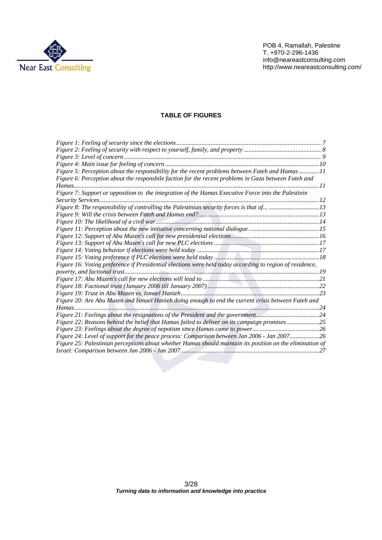

#### **TABLE OF FIGURES**

| Figure 5: Perception about the responsibility for the recent problems between Fateh and Hamas 11          |  |
|-----------------------------------------------------------------------------------------------------------|--|
| Figure 6: Perception about the responsbile faction for the recent problems in Gaza between Fateh and      |  |
|                                                                                                           |  |
| Figure 7: Support or opposition to the integration of the Hamas Executive Force into the Palestinin       |  |
|                                                                                                           |  |
|                                                                                                           |  |
|                                                                                                           |  |
|                                                                                                           |  |
|                                                                                                           |  |
|                                                                                                           |  |
|                                                                                                           |  |
|                                                                                                           |  |
|                                                                                                           |  |
| Figure 16: Voting preference if Presidential elections were held today according to region of residence,  |  |
|                                                                                                           |  |
|                                                                                                           |  |
|                                                                                                           |  |
|                                                                                                           |  |
| Figure 20: Are Abu Mazen and Ismael Hanieh doing enough to end the current crisis between Fateh and       |  |
|                                                                                                           |  |
| Figure 21: Feelings about the resignations of the President and the government24                          |  |
| Figure 22: Reasons behind the belief that Hamas failed to deliver on its campaign promises25              |  |
|                                                                                                           |  |
| Figure 24: Level of support for the peace process: Comparison between Jan 2006 - Jan 200726               |  |
| Figure 25: Palestinian perceptions about whether Hamas should maintain its position on the elimination of |  |
|                                                                                                           |  |
|                                                                                                           |  |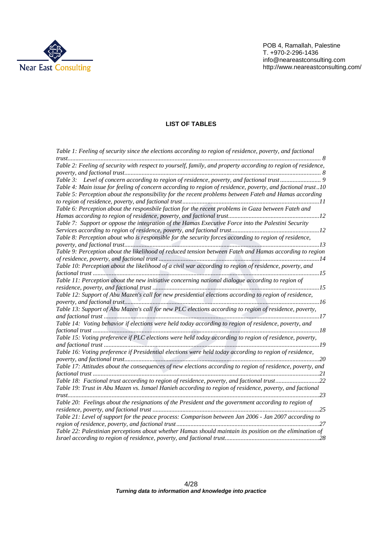

# **LIST OF TABLES**

| Table 1: Feeling of security since the elections according to region of residence, poverty, and factional     |
|---------------------------------------------------------------------------------------------------------------|
|                                                                                                               |
| Table 2: Feeling of security with respect to yourself, family, and property according to region of residence, |
|                                                                                                               |
|                                                                                                               |
| Table 4: Main issue for feeling of concern according to region of residence, poverty, and factional trust10   |
| Table 5: Perception about the responsibility for the recent problems between Fateh and Hamas according        |
|                                                                                                               |
| Table 6: Perception about the responsbile faction for the recent problems in Gaza between Fateh and           |
|                                                                                                               |
| Table 7: Support or oppose the integration of the Hamas Executive Force into the Palestini Security           |
|                                                                                                               |
| Table 8: Perception about who is responsible for the security forces according to region of residence,        |
|                                                                                                               |
| Table 9: Perception about the likelihood of reduced tension between Fateh and Hamas according to region       |
|                                                                                                               |
| Table 10: Perception about the likelihood of a civil war according to region of residence, poverty, and       |
|                                                                                                               |
| Table 11: Perception about the new initiative concerning national dialogue according to region of             |
|                                                                                                               |
| Table 12: Support of Abu Mazen's call for new presidential elections according to region of residence,        |
|                                                                                                               |
| Table 13: Support of Abu Mazen's call for new PLC elections according to region of residence, poverty,        |
|                                                                                                               |
| Table 14: Voting behavior if elections were held today according to region of residence, poverty, and         |
|                                                                                                               |
| Table 15: Voting preference if PLC elections were held today according to region of residence, poverty,       |
|                                                                                                               |
| Table 16: Voting preference if Presidential elections were held today according to region of residence,       |
|                                                                                                               |
| Table 17: Attitudes about the consequences of new elections according to region of residence, poverty, and    |
|                                                                                                               |
| Table 18: Factional trust according to region of residence, poverty, and factional trust22                    |
| Table 19: Trust in Abu Mazen vs. Ismael Hanieh according to region of residence, poverty, and factional       |
|                                                                                                               |
| Table 20: Feelings about the resignations of the President and the government according to region of          |
|                                                                                                               |
| Table 21: Level of support for the peace process: Comparison between Jan 2006 - Jan 2007 according to         |
|                                                                                                               |
| Table 22: Palestinian perceptions about whether Hamas should maintain its position on the elimination of      |
|                                                                                                               |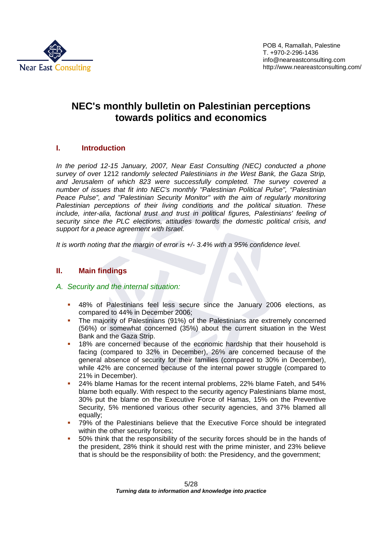

# **NEC's monthly bulletin on Palestinian perceptions towards politics and economics**

# **I. Introduction**

*In the period 12-15 January, 2007, Near East Consulting (NEC) conducted a phone survey of ove*r 1212 r*andomly selected Palestinians in the West Bank, the Gaza Strip, and Jerusalem of which 823 were successfully completed. The survey covered a number of issues that fit into NEC's monthly "Palestinian Political Pulse", "Palestinian Peace Pulse", and "Palestinian Security Monitor" with the aim of regularly monitoring Palestinian perceptions of their living conditions and the political situation. These include, inter-alia, factional trust and trust in political figures, Palestinians' feeling of security since the PLC elections, attitudes towards the domestic political crisis, and support for a peace agreement with Israel.* 

*It is worth noting that the margin of error is +/- 3.4% with a 95% confidence level.* 

# **II. Main findings**

# *A. Security and the internal situation:*

- 48% of Palestinians feel less secure since the January 2006 elections, as compared to 44% in December 2006;
- The majority of Palestinians (91%) of the Palestinians are extremely concerned (56%) or somewhat concerned (35%) about the current situation in the West Bank and the Gaza Strip.
- <sup>1</sup> 18% are concerned because of the economic hardship that their household is facing (compared to 32% in December), 26% are concerned because of the general absence of security for their families (compared to 30% in December), while 42% are concerned because of the internal power struggle (compared to 21% in December).
- 24% blame Hamas for the recent internal problems, 22% blame Fateh, and 54% blame both equally. With respect to the security agency Palestinians blame most, 30% put the blame on the Executive Force of Hamas, 15% on the Preventive Security, 5% mentioned various other security agencies, and 37% blamed all equally;
- 79% of the Palestinians believe that the Executive Force should be integrated within the other security forces;
- 50% think that the responsibility of the security forces should be in the hands of the president, 28% think it should rest with the prime minister, and 23% believe that is should be the responsibility of both: the Presidency, and the government;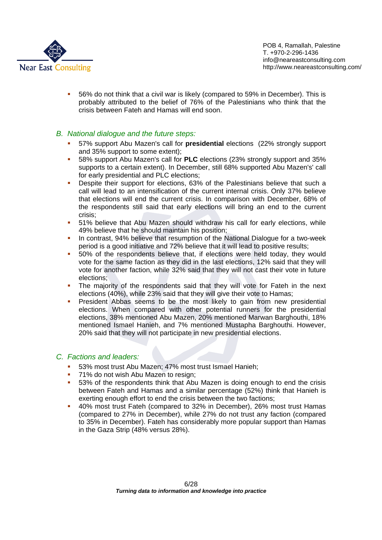

 56% do not think that a civil war is likely (compared to 59% in December). This is probably attributed to the belief of 76% of the Palestinians who think that the crisis between Fateh and Hamas will end soon.

# *B. National dialogue and the future steps:*

- 57% support Abu Mazen's call for **presidential** elections (22% strongly support and 35% support to some extent);
- 58% support Abu Mazen's call for **PLC** elections (23% strongly support and 35% supports to a certain extent). In December, still 68% supported Abu Mazen's' call for early presidential and PLC elections;
- **•** Despite their support for elections, 63% of the Palestinians believe that such a call will lead to an intensification of the current internal crisis. Only 37% believe that elections will end the current crisis. In comparison with December, 68% of the respondents still said that early elections will bring an end to the current crisis;
- 51% believe that Abu Mazen should withdraw his call for early elections, while 49% believe that he should maintain his position;
- In contrast, 94% believe that resumption of the National Dialogue for a two-week period is a good initiative and 72% believe that it will lead to positive results;
- 50% of the respondents believe that, if elections were held today, they would vote for the same faction as they did in the last elections, 12% said that they will vote for another faction, while 32% said that they will not cast their vote in future elections;
- The majority of the respondents said that they will vote for Fateh in the next elections (40%), while 23% said that they will give their vote to Hamas;
- **President Abbas seems to be the most likely to gain from new presidential** elections. When compared with other potential runners for the presidential elections, 38% mentioned Abu Mazen, 20% mentioned Marwan Barghouthi, 18% mentioned Ismael Hanieh, and 7% mentioned Mustapha Barghouthi. However, 20% said that they will not participate in new presidential elections.

# *C. Factions and leaders:*

- 53% most trust Abu Mazen; 47% most trust Ismael Hanieh;
- **71% do not wish Abu Mazen to resign;**
- 53% of the respondents think that Abu Mazen is doing enough to end the crisis between Fateh and Hamas and a similar percentage (52%) think that Hanieh is exerting enough effort to end the crisis between the two factions;
- 40% most trust Fateh (compared to 32% in December), 26% most trust Hamas (compared to 27% in December), while 27% do not trust any faction (compared to 35% in December). Fateh has considerably more popular support than Hamas in the Gaza Strip (48% versus 28%).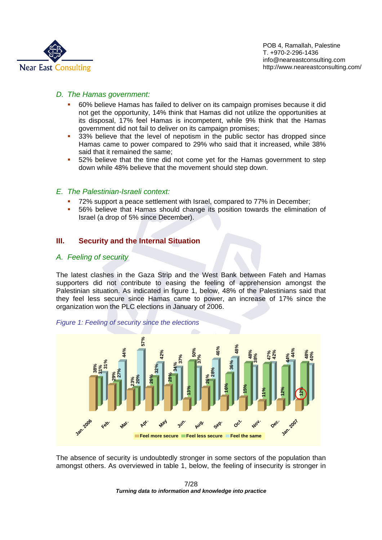

### *D. The Hamas government:*

- 60% believe Hamas has failed to deliver on its campaign promises because it did not get the opportunity, 14% think that Hamas did not utilize the opportunities at its disposal, 17% feel Hamas is incompetent, while 9% think that the Hamas government did not fail to deliver on its campaign promises;
- <sup>33%</sup> believe that the level of nepotism in the public sector has dropped since Hamas came to power compared to 29% who said that it increased, while 38% said that it remained the same;
- 52% believe that the time did not come yet for the Hamas government to step down while 48% believe that the movement should step down.

#### *E. The Palestinian-Israeli context:*

- 72% support a peace settlement with Israel, compared to 77% in December;
- 56% believe that Hamas should change its position towards the elimination of Israel (a drop of 5% since December).

# **III. Security and the Internal Situation**

#### *A. Feeling of security*

The latest clashes in the Gaza Strip and the West Bank between Fateh and Hamas supporters did not contribute to easing the feeling of apprehension amongst the Palestinian situation. As indicated in figure 1, below, 48% of the Palestinians said that they feel less secure since Hamas came to power, an increase of 17% since the organization won the PLC elections in January of 2006.



*Figure 1: Feeling of security since the elections* 

The absence of security is undoubtedly stronger in some sectors of the population than amongst others. As overviewed in table 1, below, the feeling of insecurity is stronger in

 7/28 *Turning data to information and knowledge into practice*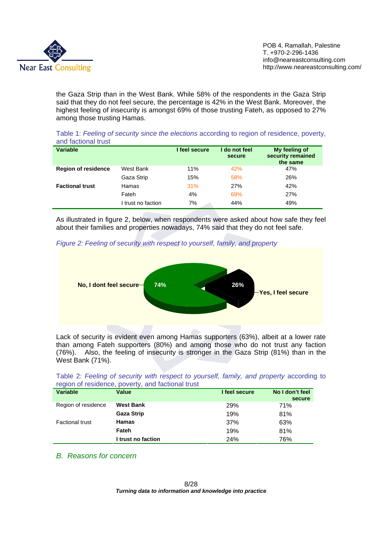

the Gaza Strip than in the West Bank. While 58% of the respondents in the Gaza Strip said that they do not feel secure, the percentage is 42% in the West Bank. Moreover, the highest feeling of insecurity is amongst 69% of those trusting Fateh, as opposed to 27% among those trusting Hamas.

Table 1: *Feeling of security since the elections* according to region of residence, poverty, and factional trust

| <b>Variable</b>            |                    | I feel secure | I do not feel<br>secure | My feeling of<br>security remained<br>the same |
|----------------------------|--------------------|---------------|-------------------------|------------------------------------------------|
| <b>Region of residence</b> | West Bank          | 11%           | 42%                     | 47%                                            |
|                            | Gaza Strip         | 15%           | 58%                     | 26%                                            |
| <b>Factional trust</b>     | Hamas              | 31%           | 27%                     | 42%                                            |
|                            | Fateh              | 4%            | 69%                     | 27%                                            |
|                            | I trust no faction | 7%            | 44%                     | 49%                                            |

As illustrated in figure 2, below, when respondents were asked about how safe they feel about their families and properties nowadays, 74% said that they do not feel safe.

*Figure 2: Feeling of security with respect to yourself, family, and property* 



Lack of security is evident even among Hamas supporters (63%), albeit at a lower rate than among Fateh supporters (80%) and among those who do not trust any faction (76%). Also, the feeling of insecurity is stronger in the Gaza Strip (81%) than in the West Bank (71%).

|                                                   |  | Table 2: Feeling of security with respect to yourself, family, and property according to |  |  |  |
|---------------------------------------------------|--|------------------------------------------------------------------------------------------|--|--|--|
| region of residence, poverty, and factional trust |  |                                                                                          |  |  |  |

| <b>Variable</b>        | <b>Value</b>       | I feel secure | No I don't feel |
|------------------------|--------------------|---------------|-----------------|
|                        |                    |               | secure          |
| Region of residence    | <b>West Bank</b>   | 29%           | 71%             |
|                        | <b>Gaza Strip</b>  | 19%           | 81%             |
| <b>Factional trust</b> | <b>Hamas</b>       | 37%           | 63%             |
|                        | Fateh              | 19%           | 81%             |
|                        | I trust no faction | 24%           | 76%             |

*B. Reasons for concern*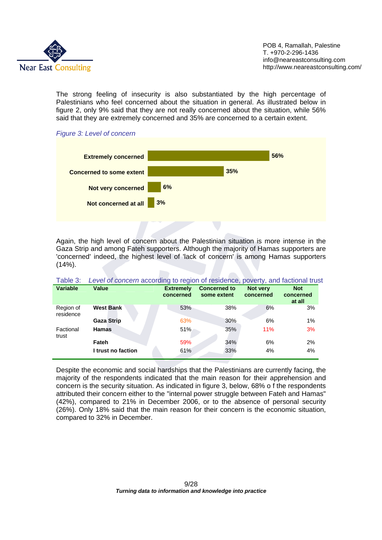

The strong feeling of insecurity is also substantiated by the high percentage of Palestinians who feel concerned about the situation in general. As illustrated below in figure 2, only 9% said that they are not really concerned about the situation, while 56% said that they are extremely concerned and 35% are concerned to a certain extent.





Again, the high level of concern about the Palestinian situation is more intense in the Gaza Strip and among Fateh supporters. Although the majority of Hamas supporters are 'concerned' indeed, the highest level of 'lack of concern' is among Hamas supporters  $(14\%)$ .

| i auit J.              | Level of concentractoruling to region of residence, poverty, and factional trust |                  |                     |           |                     |
|------------------------|----------------------------------------------------------------------------------|------------------|---------------------|-----------|---------------------|
| <b>Variable</b>        | Value                                                                            | <b>Extremely</b> | <b>Concerned to</b> | Not very  | <b>Not</b>          |
|                        |                                                                                  | concerned        | some extent         | concerned | concerned<br>at all |
| Region of<br>residence | <b>West Bank</b>                                                                 | 53%              | 38%                 | 6%        | 3%                  |
|                        | <b>Gaza Strip</b>                                                                | 63%              | 30%                 | 6%        | $1\%$               |
| Factional<br>trust     | <b>Hamas</b>                                                                     | 51%              | 35%                 | 11%       | 3%                  |
|                        | Fateh                                                                            | 59%              | 34%                 | 6%        | 2%                  |
|                        | I trust no faction                                                               | 61%              | 33%                 | 4%        | 4%                  |

Table 3: *Level of concern* according to region of residence, poverty, and factional trust

Despite the economic and social hardships that the Palestinians are currently facing, the majority of the respondents indicated that the main reason for their apprehension and concern is the security situation. As indicated in figure 3, below, 68% o f the respondents attributed their concern either to the "internal power struggle between Fateh and Hamas" (42%), compared to 21% in December 2006, or to the absence of personal security (26%). Only 18% said that the main reason for their concern is the economic situation, compared to 32% in December.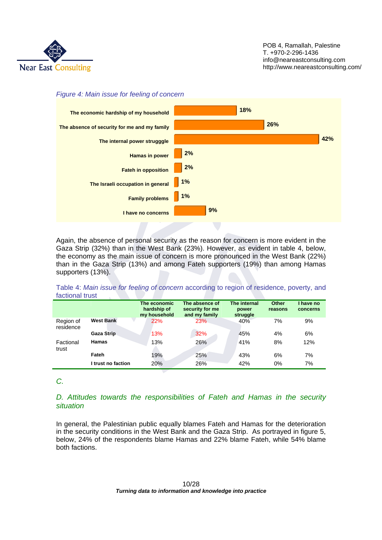

#### *Figure 4: Main issue for feeling of concern*



Again, the absence of personal security as the reason for concern is more evident in the Gaza Strip (32%) than in the West Bank (23%). However, as evident in table 4, below, the economy as the main issue of concern is more pronounced in the West Bank (22%) than in the Gaza Strip (13%) and among Fateh supporters (19%) than among Hamas supporters (13%).

Table 4: *Main issue for feeling of concern* according to region of residence, poverty, and factional trust

|                        |                    | The economic<br>hardship of<br>my household | The absence of<br>security for me<br>and my family | The internal<br>power<br>struggle | <b>Other</b><br>reasons | I have no<br>concerns |
|------------------------|--------------------|---------------------------------------------|----------------------------------------------------|-----------------------------------|-------------------------|-----------------------|
| Region of<br>residence | <b>West Bank</b>   | 22%                                         | <b>23%</b>                                         | 40%                               | 7%                      | 9%                    |
|                        | <b>Gaza Strip</b>  | 13%                                         | 32%                                                | 45%                               | 4%                      | 6%                    |
| Factional<br>trust     | <b>Hamas</b>       | 13%                                         | 26%                                                | 41%                               | 8%                      | 12%                   |
|                        | Fateh              | 19%                                         | 25%                                                | 43%                               | 6%                      | 7%                    |
|                        | I trust no faction | 20%                                         | 26%                                                | 42%                               | 0%                      | 7%                    |

*C.* 

# *D. Attitudes towards the responsibilities of Fateh and Hamas in the security situation*

In general, the Palestinian public equally blames Fateh and Hamas for the deterioration in the security conditions in the West Bank and the Gaza Strip. As portrayed in figure 5, below, 24% of the respondents blame Hamas and 22% blame Fateh, while 54% blame both factions.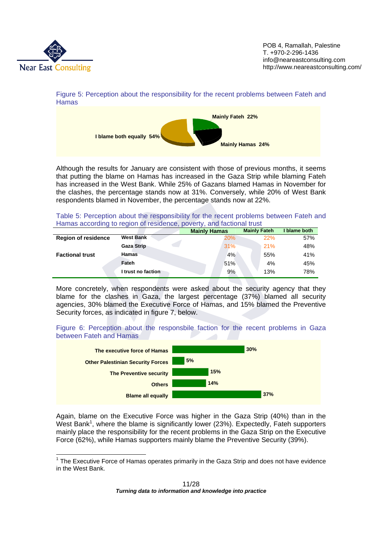

POB 4, Ramallah, Palestine T. +970-2-296-1436 info@neareastconsulting.com http://www.neareastconsulting.com/





Although the results for January are consistent with those of previous months, it seems that putting the blame on Hamas has increased in the Gaza Strip while blaming Fateh has increased in the West Bank. While 25% of Gazans blamed Hamas in November for the clashes, the percentage stands now at 31%. Conversely, while 20% of West Bank respondents blamed in November, the percentage stands now at 22%.

Table 5: Perception about the responsibility for the recent problems between Fateh and Hamas according to region of residence, poverty, and factional trust

|                            |                    | <b>Mainly Hamas</b> | <b>Mainly Fateh</b> | I blame both |
|----------------------------|--------------------|---------------------|---------------------|--------------|
| <b>Region of residence</b> | <b>West Bank</b>   | 20%                 | 22%                 | 57%          |
|                            | <b>Gaza Strip</b>  | 31%                 | 21%                 | 48%          |
| <b>Factional trust</b>     | <b>Hamas</b>       | 4%                  | 55%                 | 41%          |
|                            | Fateh              | 51%                 | 4%                  | 45%          |
|                            | I trust no faction | 9%                  | 13%                 | 78%          |

More concretely, when respondents were asked about the security agency that they blame for the clashes in Gaza, the largest percentage (37%) blamed all security agencies, 30% blamed the Executive Force of Hamas, and 15% blamed the Preventive Security forces, as indicated in figure 7, below.

Figure 6: Perception about the responsbile faction for the recent problems in Gaza between Fateh and Hamas



Again, blame on the Executive Force was higher in the Gaza Strip (40%) than in the West Bank<sup>1</sup>, where the blame is significantly lower (23%). Expectedly, Fateh supporters mainly place the responsibility for the recent problems in the Gaza Strip on the Executive Force (62%), while Hamas supporters mainly blame the Preventive Security (39%).

<sup>&</sup>lt;sup>1</sup> The Executive Force of Hamas operates primarily in the Gaza Strip and does not have evidence in the West Bank.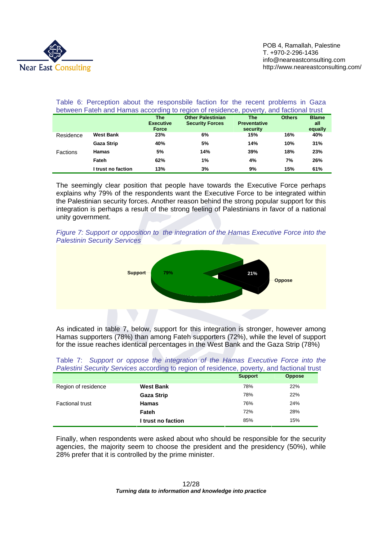

#### Table 6: Perception about the responsbile faction for the recent problems in Gaza between Fateh and Hamas according to region of residence, poverty, and factional trust **The Executive Force Other Palestinian Security Forces The Preventative security Others Blame all equally**  Residence **West Bank 23% 6% 15% 16% 40% Gaza Strip 40% 5% 14% 10% 31%**  Factions **Hamas 5% 14% 39% 18% 23% Fateh 62% 1% 4% 7% 26% I trust no faction 13% 3% 9% 15% 61%**

The seemingly clear position that people have towards the Executive Force perhaps explains why 79% of the respondents want the Executive Force to be integrated within the Palestinian security forces. Another reason behind the strong popular support for this integration is perhaps a result of the strong feeling of Palestinians in favor of a national unity government.





As indicated in table 7, below, support for this integration is stronger, however among Hamas supporters (78%) than among Fateh supporters (72%), while the level of support for the issue reaches identical percentages in the West Bank and the Gaza Strip (78%)

| Table 7: Support or oppose the integration of the Hamas Executive Force into the           |  |  |  |  |  |  |  |
|--------------------------------------------------------------------------------------------|--|--|--|--|--|--|--|
| Palestini Security Services according to region of residence, poverty, and factional trust |  |  |  |  |  |  |  |

|                        |                    | <b>Support</b> | <b>Oppose</b> |
|------------------------|--------------------|----------------|---------------|
| Region of residence    | <b>West Bank</b>   | 78%            | 22%           |
|                        | <b>Gaza Strip</b>  | 78%            | 22%           |
| <b>Factional trust</b> | <b>Hamas</b>       | 76%            | 24%           |
|                        | Fateh              | 72%            | 28%           |
|                        | I trust no faction | 85%            | 15%           |

Finally, when respondents were asked about who should be responsible for the security agencies, the majority seem to choose the president and the presidency (50%), while 28% prefer that it is controlled by the prime minister.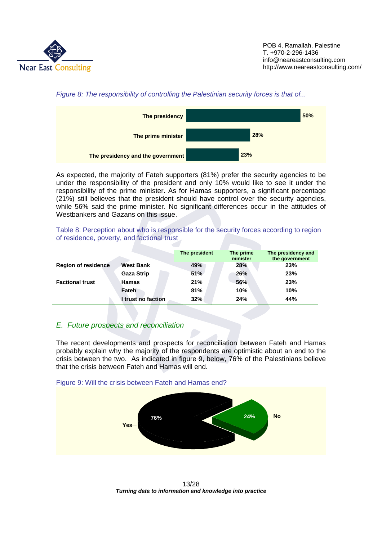





As expected, the majority of Fateh supporters (81%) prefer the security agencies to be under the responsibility of the president and only 10% would like to see it under the responsibility of the prime minister. As for Hamas supporters, a significant percentage (21%) still believes that the president should have control over the security agencies, while 56% said the prime minister. No significant differences occur in the attitudes of Westbankers and Gazans on this issue.

Table 8: Perception about who is responsible for the security forces according to region of residence, poverty, and factional trust

|                            |                    | The president | The prime<br>minister | The presidency and<br>the government |
|----------------------------|--------------------|---------------|-----------------------|--------------------------------------|
| <b>Region of residence</b> | <b>West Bank</b>   | 49%           | 28%                   | 23%                                  |
|                            | <b>Gaza Strip</b>  | 51%           | 26%                   | 23%                                  |
| <b>Factional trust</b>     | Hamas              | 21%           | 56%                   | 23%                                  |
|                            | Fateh              | 81%           | 10%                   | 10%                                  |
|                            | I trust no faction | 32%           | 24%                   | 44%                                  |

# *E. Future prospects and reconciliation*

The recent developments and prospects for reconciliation between Fateh and Hamas probably explain why the majority of the respondents are optimistic about an end to the crisis between the two. As indicated in figure 9, below, 76% of the Palestinians believe that the crisis between Fateh and Hamas will end.





 13/28 *Turning data to information and knowledge into practice*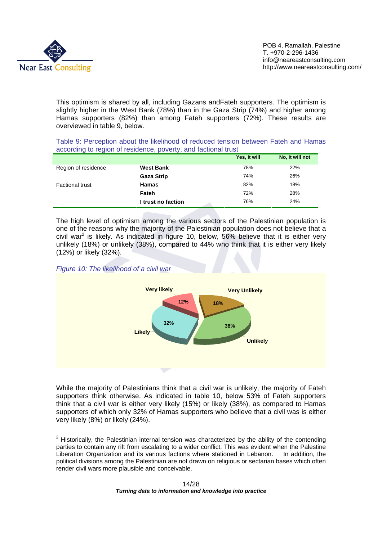

This optimism is shared by all, including Gazans andFateh supporters. The optimism is slightly higher in the West Bank (78%) than in the Gaza Strip (74%) and higher among Hamas supporters (82%) than among Fateh supporters (72%). These results are overviewed in table 9, below.

| Table 9: Perception about the likelihood of reduced tension between Fateh and Hamas |  |  |  |  |
|-------------------------------------------------------------------------------------|--|--|--|--|
| according to region of residence, poverty, and factional trust                      |  |  |  |  |

|                        |                    | Yes, it will | No, it will not |
|------------------------|--------------------|--------------|-----------------|
| Region of residence    | <b>West Bank</b>   | 78%          | 22%             |
|                        | <b>Gaza Strip</b>  | 74%          | 26%             |
| <b>Factional trust</b> | <b>Hamas</b>       | 82%          | 18%             |
|                        | Fateh              | 72%          | 28%             |
|                        | I trust no faction | 76%          | 24%             |

The high level of optimism among the various sectors of the Palestinian population is one of the reasons why the majority of the Palestinian population does not believe that a civil war<sup>2</sup> is likely. As indicated in figure 10, below, 56% believe that it is either very unlikely (18%) or unlikely (38%), compared to 44% who think that it is either very likely (12%) or likely (32%).

#### *Figure 10: The likelihood of a civil war*



While the majority of Palestinians think that a civil war is unlikely, the majority of Fateh supporters think otherwise. As indicated in table 10, below 53% of Fateh supporters think that a civil war is either very likely (15%) or likely (38%), as compared to Hamas supporters of which only 32% of Hamas supporters who believe that a civil was is either very likely (8%) or likely (24%).

<sup>&</sup>lt;u>2</u><br><sup>2</sup> Historically, the Palestinian internal tension was characterized by the ability of the contending parties to contain any rift from escalating to a wider conflict. This was evident when the Palestine Liberation Organization and its various factions where stationed in Lebanon. In addition, the political divisions among the Palestinian are not drawn on religious or sectarian bases which often render civil wars more plausible and conceivable.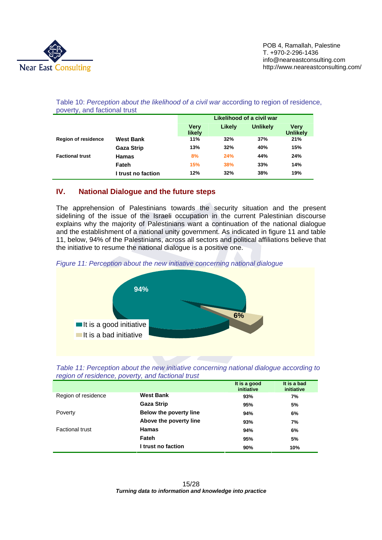

|                            |                    |                       | Likelihood of a civil war |                 |                         |  |
|----------------------------|--------------------|-----------------------|---------------------------|-----------------|-------------------------|--|
|                            |                    | <b>Verv</b><br>likely | Likely                    | <b>Unlikely</b> | Verv<br><b>Unlikely</b> |  |
| <b>Region of residence</b> | <b>West Bank</b>   | 11%                   | 32%                       | 37%             | 21%                     |  |
|                            | <b>Gaza Strip</b>  | 13%                   | 32%                       | 40%             | 15%                     |  |
| <b>Factional trust</b>     | <b>Hamas</b>       | 8%                    | 24%                       | 44%             | 24%                     |  |
|                            | Fateh              | 15%                   | 38%                       | 33%             | 14%                     |  |
|                            | I trust no faction | 12%                   | 32%                       | 38%             | 19%                     |  |

Table 10: *Perception about the likelihood of a civil war* according to region of residence, poverty, and factional trust

# **IV. National Dialogue and the future steps**

The apprehension of Palestinians towards the security situation and the present sidelining of the issue of the Israeli occupation in the current Palestinian discourse explains why the majority of Palestinians want a continuation of the national dialogue and the establishment of a national unity government. As indicated in figure 11 and table 11, below, 94% of the Palestinians, across all sectors and political affiliations believe that the initiative to resume the national dialogue is a positive one.





| Table 11: Perception about the new initiative concerning national dialogue according to |  |
|-----------------------------------------------------------------------------------------|--|
| region of residence, poverty, and factional trust                                       |  |

|                        |                        | It is a good<br>initiative | It is a bad<br>initiative |
|------------------------|------------------------|----------------------------|---------------------------|
| Region of residence    | <b>West Bank</b>       | 93%                        | 7%                        |
|                        | <b>Gaza Strip</b>      | 95%                        | 5%                        |
| Poverty                | Below the poverty line | 94%                        | 6%                        |
|                        | Above the poverty line | 93%                        | 7%                        |
| <b>Factional trust</b> | <b>Hamas</b>           | 94%                        | 6%                        |
|                        | Fateh                  | 95%                        | 5%                        |
|                        | I trust no faction     | 90%                        | 10%                       |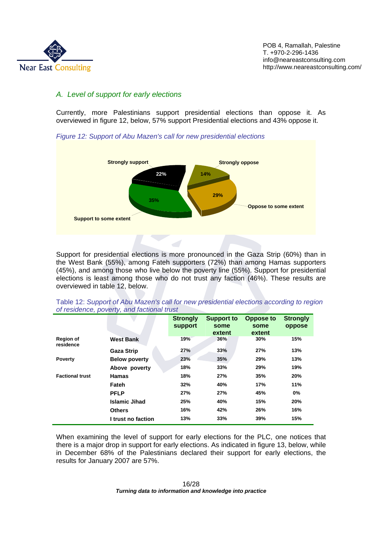

# *A. Level of support for early elections*

Currently, more Palestinians support presidential elections than oppose it. As overviewed in figure 12, below, 57% support Presidential elections and 43% oppose it.

*Figure 12: Support of Abu Mazen's call for new presidential elections* 



Support for presidential elections is more pronounced in the Gaza Strip (60%) than in the West Bank (55%), among Fateh supporters (72%) than among Hamas supporters (45%), and among those who live below the poverty line (55%). Support for presidential elections is least among those who do not trust any faction (46%). These results are overviewed in table 12, below.

|                               |                      | <b>Strongly</b><br>support | <b>Support to</b><br>some | <b>Oppose to</b><br>some | <b>Strongly</b><br>oppose |
|-------------------------------|----------------------|----------------------------|---------------------------|--------------------------|---------------------------|
|                               |                      |                            | extent                    | extent                   |                           |
| <b>Region of</b><br>residence | <b>West Bank</b>     | 19%                        | 36%                       | 30%                      | 15%                       |
|                               | <b>Gaza Strip</b>    | 27%                        | 33%                       | 27%                      | 13%                       |
| <b>Poverty</b>                | <b>Below poverty</b> | 23%                        | 35%                       | 29%                      | 13%                       |
|                               | Above poverty        | 18%                        | 33%                       | 29%                      | 19%                       |
| <b>Factional trust</b>        | <b>Hamas</b>         | 18%                        | 27%                       | 35%                      | 20%                       |
|                               | Fateh                | 32%                        | 40%                       | 17%                      | 11%                       |
|                               | <b>PFLP</b>          | 27%                        | 27%                       | 45%                      | 0%                        |
|                               | <b>Islamic Jihad</b> | 25%                        | 40%                       | 15%                      | 20%                       |
|                               | <b>Others</b>        | 16%                        | 42%                       | 26%                      | 16%                       |
|                               | I trust no faction   | 13%                        | 33%                       | 39%                      | 15%                       |

Table 12: *Support of Abu Mazen's call for new presidential elections according to region of residence, poverty, and factional trust* 

When examining the level of support for early elections for the PLC, one notices that there is a major drop in support for early elections. As indicated in figure 13, below, while in December 68% of the Palestinians declared their support for early elections, the results for January 2007 are 57%.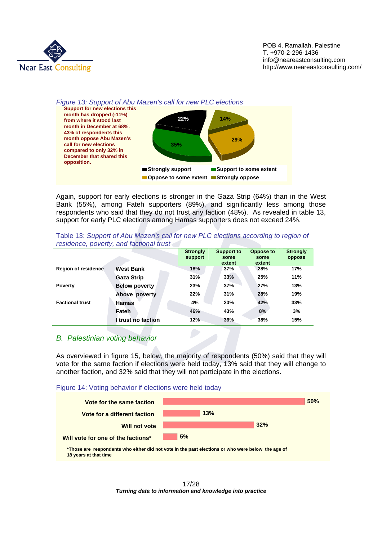

#### *Figure 13: Support of Abu Mazen's call for new PLC elections*



Again, support for early elections is stronger in the Gaza Strip (64%) than in the West Bank (55%), among Fateh supporters (89%), and significantly less among those respondents who said that they do not trust any faction (48%). As revealed in table 13, support for early PLC elections among Hamas supporters does not exceed 24%.

|                            |                      | <b>Strongly</b><br>support | <b>Support to</b><br>some<br>extent | <b>Oppose to</b><br>some<br>extent | <b>Strongly</b><br>oppose |
|----------------------------|----------------------|----------------------------|-------------------------------------|------------------------------------|---------------------------|
| <b>Region of residence</b> | <b>West Bank</b>     | 18%                        | 37%                                 | 28%                                | 17%                       |
|                            | <b>Gaza Strip</b>    | 31%                        | 33%                                 | 25%                                | 11%                       |
| <b>Poverty</b>             | <b>Below poverty</b> | 23%                        | 37%                                 | 27%                                | 13%                       |
|                            | Above poverty        | 22%                        | 31%                                 | 28%                                | 19%                       |
| <b>Factional trust</b>     | <b>Hamas</b>         | 4%                         | 20%                                 | 42%                                | 33%                       |
|                            | Fateh                | 46%                        | 43%                                 | 8%                                 | 3%                        |
|                            | trust no faction     | 12%                        | 36%                                 | 38%                                | 15%                       |

Table 13: *Support of Abu Mazen's call for new PLC elections according to region of residence, poverty, and factional trust* 

#### *B. Palestinian voting behavior*

As overviewed in figure 15, below, the majority of respondents (50%) said that they will vote for the same faction if elections were held today, 13% said that they will change to another faction, and 32% said that they will not participate in the elections.





**\*Those are respondents who either did not vote in the past elections or who were below the age of 18 years at that time**

> 17/28 *Turning data to information and knowledge into practice*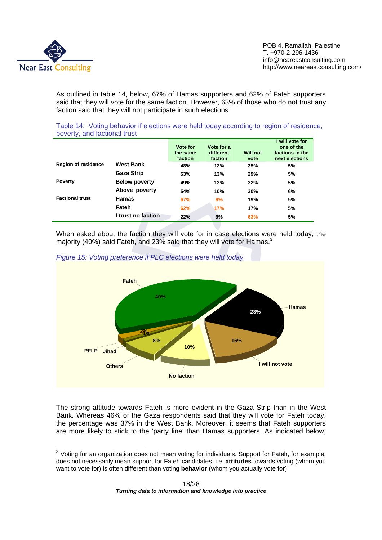

As outlined in table 14, below, 67% of Hamas supporters and 62% of Fateh supporters said that they will vote for the same faction. However, 63% of those who do not trust any faction said that they will not participate in such elections.

Table 14: Voting behavior if elections were held today according to region of residence, poverty, and factional trust

|                            |                      | Vote for<br>the same<br>faction | Vote for a<br>different<br>faction | <b>Will not</b><br>vote | I will vote for<br>one of the<br>factions in the<br>next elections |
|----------------------------|----------------------|---------------------------------|------------------------------------|-------------------------|--------------------------------------------------------------------|
| <b>Region of residence</b> | <b>West Bank</b>     | 48%                             | 12%                                | 35%                     | 5%                                                                 |
|                            | <b>Gaza Strip</b>    | 53%                             | 13%                                | 29%                     | 5%                                                                 |
| <b>Poverty</b>             | <b>Below poverty</b> | 49%                             | 13%                                | 32%                     | 5%                                                                 |
|                            | Above poverty        | 54%                             | 10%                                | 30%                     | 6%                                                                 |
| <b>Factional trust</b>     | <b>Hamas</b>         | 67%                             | 8%                                 | 19%                     | 5%                                                                 |
|                            | Fateh                | 62%                             | 17%                                | 17%                     | 5%                                                                 |
|                            | I trust no faction   | 22%                             | 9%                                 | 63%                     | 5%                                                                 |

When asked about the faction they will vote for in case elections were held today, the majority (40%) said Fateh, and 23% said that they will vote for Hamas. $3$ 



#### *Figure 15: Voting preference if PLC elections were held today*

The strong attitude towards Fateh is more evident in the Gaza Strip than in the West Bank. Whereas 46% of the Gaza respondents said that they will vote for Fateh today, the percentage was 37% in the West Bank. Moreover, it seems that Fateh supporters are more likely to stick to the 'party line' than Hamas supporters. As indicated below,

<sup>&</sup>lt;u>3</u><br><sup>3</sup> Voting for an organization does not mean voting for individuals. Support for Fateh, for example, does not necessarily mean support for Fateh candidates, i.e. **attitudes** towards voting (whom you want to vote for) is often different than voting **behavior** (whom you actually vote for)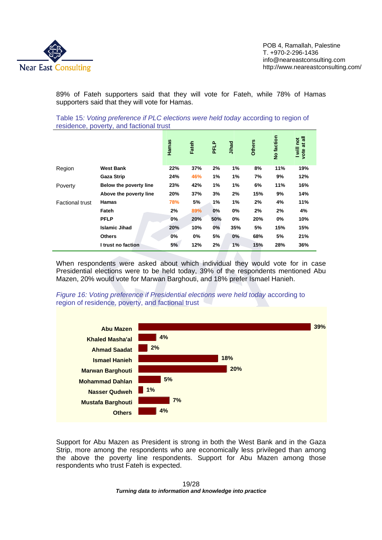

89% of Fateh supporters said that they will vote for Fateh, while 78% of Hamas supporters said that they will vote for Hamas.

Table 15*: Voting preference if PLC elections were held today* according to region of residence, poverty, and factional trust

|                        |                        | Hamas | Fateh | PFLP | Jihad | <b>Others</b> | No faction | vote at all<br>I will not |
|------------------------|------------------------|-------|-------|------|-------|---------------|------------|---------------------------|
| Region                 | <b>West Bank</b>       | 22%   | 37%   | 2%   | 1%    | 8%            | 11%        | 19%                       |
|                        | <b>Gaza Strip</b>      | 24%   | 46%   | 1%   | 1%    | 7%            | 9%         | 12%                       |
| Poverty                | Below the poverty line | 23%   | 42%   | 1%   | 1%    | 6%            | 11%        | 16%                       |
|                        | Above the poverty line | 20%   | 37%   | 3%   | 2%    | 15%           | 9%         | 14%                       |
| <b>Factional trust</b> | <b>Hamas</b>           | 78%   | 5%    | 1%   | 1%    | 2%            | 4%         | 11%                       |
|                        | Fateh                  | 2%    | 89%   | 0%   | 0%    | 2%            | 2%         | 4%                        |
|                        | <b>PFLP</b>            | 0%    | 20%   | 50%  | 0%    | 20%           | 0%         | 10%                       |
|                        | <b>Islamic Jihad</b>   | 20%   | 10%   | 0%   | 35%   | 5%            | 15%        | 15%                       |
|                        | <b>Others</b>          | 0%    | 0%    | 5%   | 0%    | 68%           | 5%         | 21%                       |
|                        | I trust no faction     | 5%    | 12%   | 2%   | 1%    | 15%           | 28%        | 36%                       |

When respondents were asked about which individual they would vote for in case Presidential elections were to be held today, 39% of the respondents mentioned Abu Mazen, 20% would vote for Marwan Barghouti, and 18% prefer Ismael Hanieh.



*Figure 16: Voting preference if Presidential elections were held today according to* region of residence, poverty, and factional trust

Support for Abu Mazen as President is strong in both the West Bank and in the Gaza Strip, more among the respondents who are economically less privileged than among the above the poverty line respondents. Support for Abu Mazen among those respondents who trust Fateh is expected.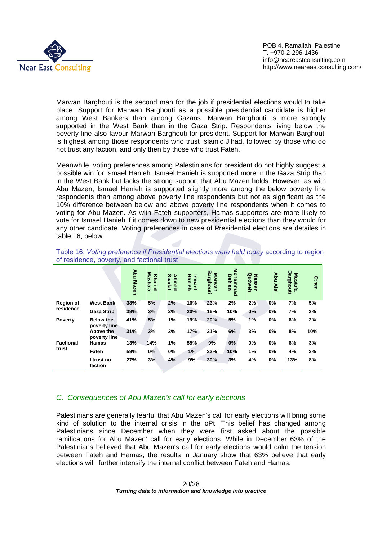

Marwan Barghouti is the second man for the job if presidential elections would to take place. Support for Marwan Barghouti as a possible presidential candidate is higher among West Bankers than among Gazans. Marwan Barghouti is more strongly supported in the West Bank than in the Gaza Strip. Respondents living below the poverty line also favour Marwan Barghouti for president. Support for Marwan Barghouti is highest among those respondents who trust Islamic Jihad, followed by those who do not trust any faction, and only then by those who trust Fateh.

Meanwhile, voting preferences among Palestinians for president do not highly suggest a possible win for Ismael Hanieh. Ismael Hanieh is supported more in the Gaza Strip than in the West Bank but lacks the strong support that Abu Mazen holds. However, as with Abu Mazen, Ismael Hanieh is supported slightly more among the below poverty line respondents than among above poverty line respondents but not as significant as the 10% difference between below and above poverty line respondents when it comes to voting for Abu Mazen. As with Fateh supporters, Hamas supporters are more likely to vote for Ismael Hanieh if it comes down to new presidential elections than they would for any other candidate. Voting preferences in case of Presidential elections are detailes in table 16, below.

|                  |                                  | Abu Mazen | Masha'al<br><b>Khaled</b> | Ahmad<br><b>Saadat</b> | Hanieh<br>Ismael | Barghouti<br>Marwan | Mohammad<br><b>Dahlan</b> | Qudweh<br><b>Nasser</b> | Abu Ala' | Barghouti<br><b>Mustafa</b> | Other |
|------------------|----------------------------------|-----------|---------------------------|------------------------|------------------|---------------------|---------------------------|-------------------------|----------|-----------------------------|-------|
| <b>Region of</b> | <b>West Bank</b>                 | 38%       | 5%                        | 2%                     | 16%              | 23%                 | 2%                        | 2%                      | 0%       | 7%                          | 5%    |
| residence        | <b>Gaza Strip</b>                | 39%       | 3%                        | 2%                     | 20%              | 16%                 | 10%                       | 0%                      | 0%       | 7%                          | 2%    |
| <b>Poverty</b>   | <b>Below the</b><br>poverty line | 41%       | 5%                        | 1%                     | 19%              | 20%                 | 5%                        | 1%                      | 0%       | 6%                          | 2%    |
|                  | Above the<br>poverty line        | 31%       | 3%                        | 3%                     | 17%              | 21%                 | 6%                        | 3%                      | 0%       | 8%                          | 10%   |
| <b>Factional</b> | Hamas                            | 13%       | 14%                       | 1%                     | 55%              | 9%                  | $0\%$                     | 0%                      | 0%       | 6%                          | 3%    |
| trust            | Fateh                            | 59%       | 0%                        | 0%                     | 1%               | 22%                 | 10%                       | 1%                      | 0%       | 4%                          | 2%    |
|                  | I trust no<br>faction            | 27%       | 3%                        | 4%                     | 9%               | 30%                 | 3%                        | 4%                      | 0%       | 13%                         | 8%    |

Table 16: *Voting preference if Presidential elections were held today* according to region of residence, poverty, and factional trust

#### *C. Consequences of Abu Mazen's call for early elections*

Palestinians are generally fearful that Abu Mazen's call for early elections will bring some kind of solution to the internal crisis in the oPt. This belief has changed among Palestinians since December when they were first asked about the possible ramifications for Abu Mazen' call for early elections. While in December 63% of the Palestinians believed that Abu Mazen's call for early elections would calm the tension between Fateh and Hamas, the results in January show that 63% believe that early elections will further intensify the internal conflict between Fateh and Hamas.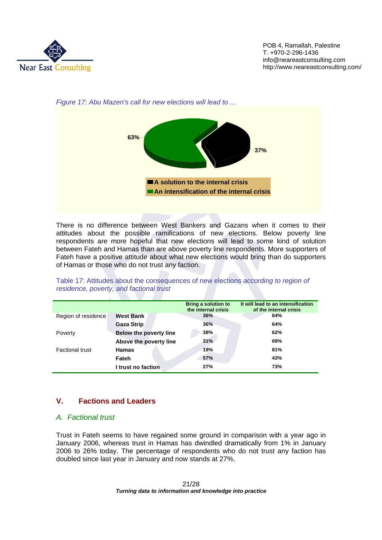



*Figure 17: Abu Mazen's call for new elections will lead to ...* 

There is no difference between West Bankers and Gazans when it comes to their attitudes about the possible ramifications of new elections. Below poverty line respondents are more hopeful that new elections will lead to some kind of solution between Fateh and Hamas than are above poverty line respondents. More supporters of Fateh have a positive attitude about what new elections would bring than do supporters of Hamas or those who do not trust any faction.

|                        |                               | <b>Bring a solution to</b><br>the internal crisis | It will lead to an intensification<br>of the internal crisis |
|------------------------|-------------------------------|---------------------------------------------------|--------------------------------------------------------------|
| Region of residence    | <b>West Bank</b>              | 36%                                               | 64%                                                          |
|                        | <b>Gaza Strip</b>             | 36%                                               | 64%                                                          |
| Poverty                | <b>Below the poverty line</b> | 38%                                               | 62%                                                          |
|                        | Above the poverty line        | 31%                                               | 69%                                                          |
| <b>Factional trust</b> | <b>Hamas</b>                  | 19%                                               | 81%                                                          |
|                        | Fateh                         | 57%                                               | 43%                                                          |
|                        | I trust no faction            | 27%                                               | 73%                                                          |

Table 17: Attitudes about the consequences of new elections *according to region of residence, poverty, and factional trust* 

# **V. Factions and Leaders**

### *A. Factional trust*

Trust in Fateh seems to have regained some ground in comparison with a year ago in January 2006, whereas trust in Hamas has dwindled dramatically from 1% in January 2006 to 26% today. The percentage of respondents who do not trust any faction has doubled since last year in January and now stands at 27%.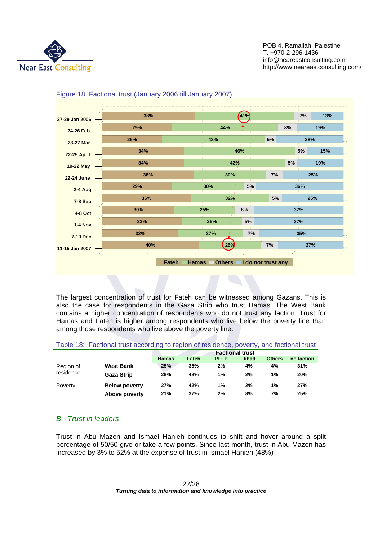



#### Figure 18: Factional trust (January 2006 till January 2007)

The largest concentration of trust for Fateh can be witnessed among Gazans. This is also the case for respondents in the Gaza Strip who trust Hamas. The West Bank contains a higher concentration of respondents who do not trust any faction. Trust for Hamas and Fateh is higher among respondents who live below the poverty line than among those respondents who live above the poverty line.

| Table 18: Factional trust according to region of residence, poverty, and factional trust |  |  |  |
|------------------------------------------------------------------------------------------|--|--|--|
|------------------------------------------------------------------------------------------|--|--|--|

|                        |                      | <b>Factional trust</b> |       |             |       |               |            |
|------------------------|----------------------|------------------------|-------|-------------|-------|---------------|------------|
|                        |                      | <b>Hamas</b>           | Fateh | <b>PFLP</b> | Jihad | <b>Others</b> | no faction |
| Region of<br>residence | <b>West Bank</b>     | 25%                    | 35%   | 2%          | 4%    | 4%            | 31%        |
|                        | <b>Gaza Strip</b>    | 28%                    | 48%   | $1\%$       | 2%    | 1%            | 20%        |
| Poverty                | <b>Below poverty</b> | 27%                    | 42%   | 1%          | 2%    | 1%            | 27%        |
|                        | Above poverty        | 21%                    | 37%   | 2%          | 8%    | 7%            | 25%        |

# *B. Trust in leaders*

Trust in Abu Mazen and Ismael Hanieh continues to shift and hover around a split percentage of 50/50 give or take a few points. Since last month, trust in Abu Mazen has increased by 3% to 52% at the expense of trust in Ismael Hanieh (48%)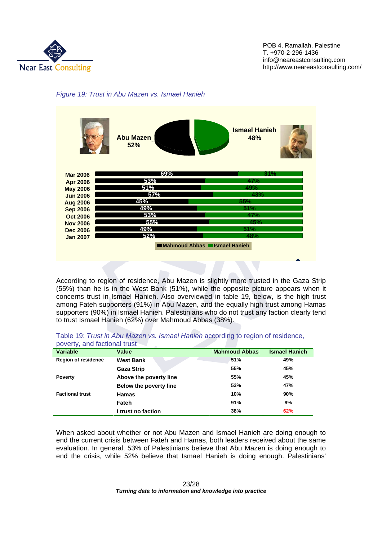





According to region of residence, Abu Mazen is slightly more trusted in the Gaza Strip (55%) than he is in the West Bank (51%), while the opposite picture appears when it concerns trust in Ismael Hanieh. Also overviewed in table 19, below, is the high trust among Fateh supporters (91%) in Abu Mazen, and the equally high trust among Hamas supporters (90%) in Ismael Hanieh. Palestinians who do not trust any faction clearly tend to trust Ismael Hanieh (62%) over Mahmoud Abbas (38%).

| poverty, and factional trust |                        |                      |                      |  |  |
|------------------------------|------------------------|----------------------|----------------------|--|--|
| <b>Variable</b>              | <b>Value</b>           | <b>Mahmoud Abbas</b> | <b>Ismael Hanieh</b> |  |  |
| <b>Region of residence</b>   | <b>West Bank</b>       | 51%                  | 49%                  |  |  |
|                              | <b>Gaza Strip</b>      | 55%                  | 45%                  |  |  |
| <b>Poverty</b>               | Above the poverty line | 55%                  | 45%                  |  |  |
|                              | Below the poverty line | 53%                  | 47%                  |  |  |
| <b>Factional trust</b>       | <b>Hamas</b>           | 10%                  | 90%                  |  |  |
|                              | Fateh                  | 91%                  | 9%                   |  |  |
|                              | I trust no faction     | 38%                  | 62%                  |  |  |

Table 19: *Trust in Abu Mazen vs. Ismael Hanieh* according to region of residence, poverty, and factional trust

When asked about whether or not Abu Mazen and Ismael Hanieh are doing enough to end the current crisis between Fateh and Hamas, both leaders received about the same evaluation. In general, 53% of Palestinians believe that Abu Mazen is doing enough to end the crisis, while 52% believe that Ismael Hanieh is doing enough. Palestinians'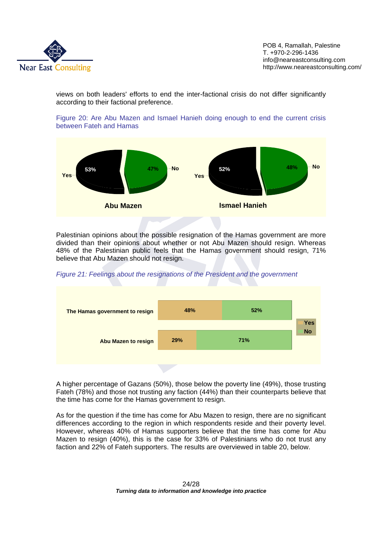

views on both leaders' efforts to end the inter-factional crisis do not differ significantly according to their factional preference.





Palestinian opinions about the possible resignation of the Hamas government are more divided than their opinions about whether or not Abu Mazen should resign. Whereas 48% of the Palestinian public feels that the Hamas government should resign, 71% believe that Abu Mazen should not resign.

*Figure 21: Feelings about the resignations of the President and the government* 



A higher percentage of Gazans (50%), those below the poverty line (49%), those trusting Fateh (78%) and those not trusting any faction (44%) than their counterparts believe that the time has come for the Hamas government to resign.

As for the question if the time has come for Abu Mazen to resign, there are no significant differences according to the region in which respondents reside and their poverty level. However, whereas 40% of Hamas supporters believe that the time has come for Abu Mazen to resign (40%), this is the case for 33% of Palestinians who do not trust any faction and 22% of Fateh supporters. The results are overviewed in table 20, below.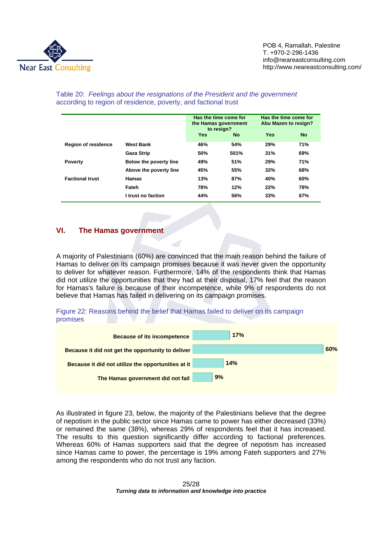

|                            |                        | Has the time come for<br>the Hamas government<br>to resign? |           | Has the time come for<br>Abu Mazen to resign? |           |
|----------------------------|------------------------|-------------------------------------------------------------|-----------|-----------------------------------------------|-----------|
|                            |                        | Yes                                                         | <b>No</b> | <b>Yes</b>                                    | <b>No</b> |
| <b>Region of residence</b> | <b>West Bank</b>       | 46%                                                         | 54%       | 29%                                           | 71%       |
|                            | <b>Gaza Strip</b>      | 50%                                                         | 501%      | 31%                                           | 69%       |
| <b>Poverty</b>             | Below the poverty line | 49%                                                         | 51%       | 29%                                           | 71%       |
|                            | Above the poverty line | 45%                                                         | 55%       | 32%                                           | 68%       |
| <b>Factional trust</b>     | <b>Hamas</b>           | 13%                                                         | 87%       | 40%                                           | 60%       |
|                            | Fateh                  | 78%                                                         | 12%       | 22%                                           | 78%       |
|                            | I trust no faction     | 44%                                                         | 56%       | 33%                                           | 67%       |

#### Table 20: *Feelings about the resignations of the President and the government* according to region of residence, poverty, and factional trust

# **VI. The Hamas government**

A majority of Palestinians (60%) are convinced that the main reason behind the failure of Hamas to deliver on its campaign promises because it was never given the opportunity to deliver for whatever reason. Furthermore, 14% of the respondents think that Hamas did not utilize the opportunities that they had at their disposal, 17% feel that the reason for Hamas's failure is because of their incompetence, while 9% of respondents do not believe that Hamas has failed in delivering on its campaign promises.





As illustrated in figure 23, below, the majority of the Palestinians believe that the degree of nepotism in the public sector since Hamas came to power has either decreased (33%) or remained the same (38%), whereas 29% of respondents feel that it has increased. The results to this question significantly differ according to factional preferences. Whereas 60% of Hamas supporters said that the degree of nepotism has increased since Hamas came to power, the percentage is 19% among Fateh supporters and 27% among the respondents who do not trust any faction.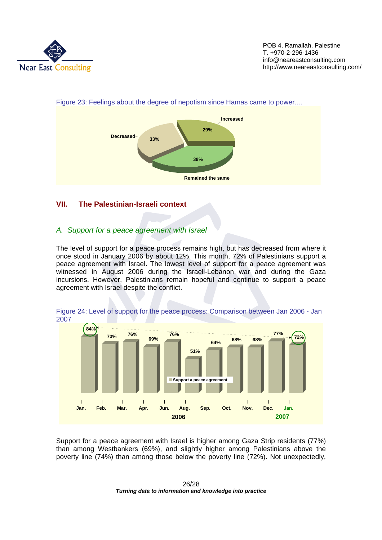



#### Figure 23: Feelings about the degree of nepotism since Hamas came to power....

# **VII. The Palestinian-Israeli context**

# *A. Support for a peace agreement with Israel*

The level of support for a peace process remains high, but has decreased from where it once stood in January 2006 by about 12%. This month, 72% of Palestinians support a peace agreement with Israel. The lowest level of support for a peace agreement was witnessed in August 2006 during the Israeli-Lebanon war and during the Gaza incursions. However, Palestinians remain hopeful and continue to support a peace agreement with Israel despite the conflict.



Figure 24: Level of support for the peace process: Comparison between Jan 2006 - Jan 2007

Support for a peace agreement with Israel is higher among Gaza Strip residents (77%) than among Westbankers (69%), and slightly higher among Palestinians above the poverty line (74%) than among those below the poverty line (72%). Not unexpectedly,

> 26/28 *Turning data to information and knowledge into practice*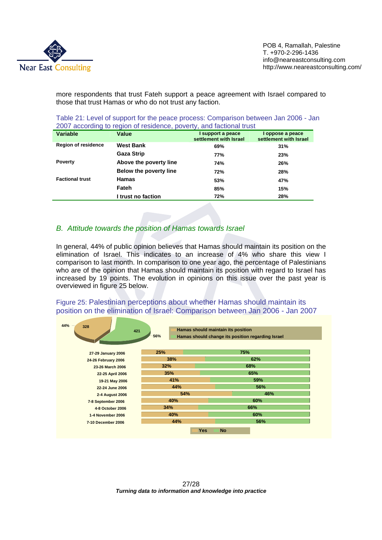

more respondents that trust Fateh support a peace agreement with Israel compared to those that trust Hamas or who do not trust any faction.

| 2007 according to region of residence, poverty, and factional trust |                        |                                             |                                            |  |  |
|---------------------------------------------------------------------|------------------------|---------------------------------------------|--------------------------------------------|--|--|
| <b>Variable</b>                                                     | Value                  | I support a peace<br>settlement with Israel | I oppose a peace<br>settlement with Israel |  |  |
| <b>Region of residence</b>                                          | <b>West Bank</b>       | 69%                                         | 31%                                        |  |  |
|                                                                     | <b>Gaza Strip</b>      | 77%                                         | 23%                                        |  |  |
| <b>Poverty</b>                                                      | Above the poverty line | 74%                                         | 26%                                        |  |  |
|                                                                     | Below the poverty line | 72%                                         | 28%                                        |  |  |
| <b>Factional trust</b>                                              | <b>Hamas</b>           | 53%                                         | 47%                                        |  |  |

**Fateh 85% 15%** 

Table 21: Level of support for the peace process: Comparison between Jan 2006 - Jan

# *B. Attitude towards the position of Hamas towards Israel*

In general, 44% of public opinion believes that Hamas should maintain its position on the elimination of Israel. This indicates to an increase of 4% who share this view I comparison to last month. In comparison to one year ago, the percentage of Palestinians who are of the opinion that Hamas should maintain its position with regard to Israel has increased by 19 points. The evolution in opinions on this issue over the past year is overviewed in figure 25 below.

**I trust no faction 72% 28%** 

Figure 25: Palestinian perceptions about whether Hamas should maintain its position on the elimination of Israel: Comparison between Jan 2006 - Jan 2007